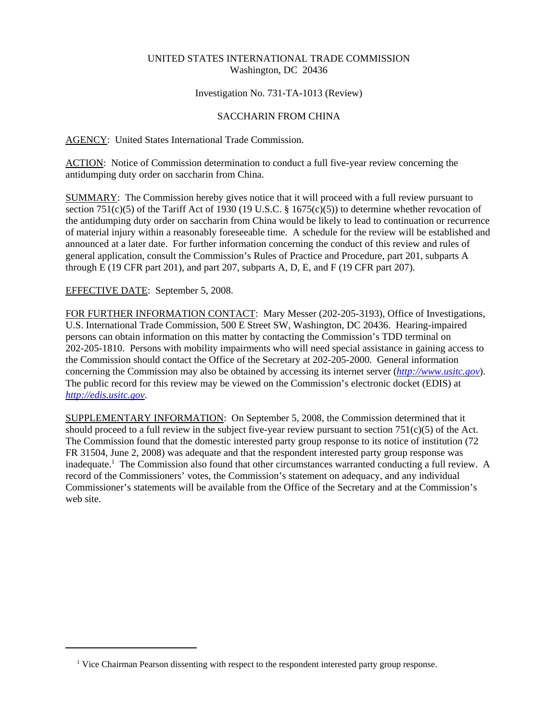## UNITED STATES INTERNATIONAL TRADE COMMISSION Washington, DC 20436

### Investigation No. 731-TA-1013 (Review)

## SACCHARIN FROM CHINA

### AGENCY: United States International Trade Commission.

ACTION: Notice of Commission determination to conduct a full five-year review concerning the antidumping duty order on saccharin from China.

SUMMARY: The Commission hereby gives notice that it will proceed with a full review pursuant to section 751(c)(5) of the Tariff Act of 1930 (19 U.S.C. § 1675(c)(5)) to determine whether revocation of the antidumping duty order on saccharin from China would be likely to lead to continuation or recurrence of material injury within a reasonably foreseeable time. A schedule for the review will be established and announced at a later date. For further information concerning the conduct of this review and rules of general application, consult the Commission's Rules of Practice and Procedure, part 201, subparts A through E (19 CFR part 201), and part 207, subparts A, D, E, and F (19 CFR part 207).

# EFFECTIVE DATE: September 5, 2008.

FOR FURTHER INFORMATION CONTACT: Mary Messer (202-205-3193), Office of Investigations, U.S. International Trade Commission, 500 E Street SW, Washington, DC 20436. Hearing-impaired persons can obtain information on this matter by contacting the Commission's TDD terminal on 202-205-1810. Persons with mobility impairments who will need special assistance in gaining access to the Commission should contact the Office of the Secretary at 202-205-2000. General information concerning the Commission may also be obtained by accessing its internet server (*http://www.usitc.gov*). The public record for this review may be viewed on the Commission's electronic docket (EDIS) at *http://edis.usitc.gov*.

SUPPLEMENTARY INFORMATION: On September 5, 2008, the Commission determined that it should proceed to a full review in the subject five-year review pursuant to section  $751(c)(5)$  of the Act. The Commission found that the domestic interested party group response to its notice of institution (72 FR 31504, June 2, 2008) was adequate and that the respondent interested party group response was inadequate.<sup>1</sup> The Commission also found that other circumstances warranted conducting a full review. A record of the Commissioners' votes, the Commission's statement on adequacy, and any individual Commissioner's statements will be available from the Office of the Secretary and at the Commission's web site.

<sup>&</sup>lt;sup>1</sup> Vice Chairman Pearson dissenting with respect to the respondent interested party group response.